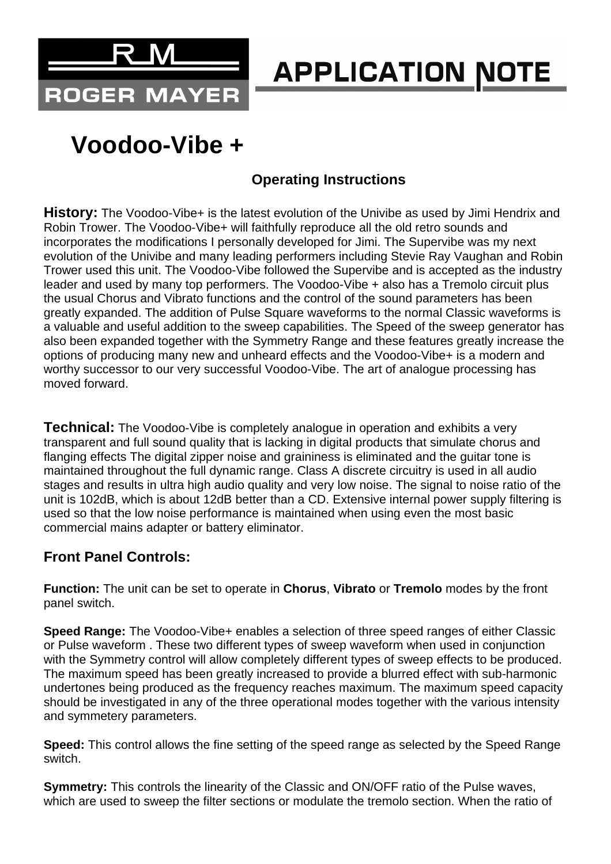

# **APPLICATION NOTE**

## **Voodoo-Vibe +**

### **Operating Instructions**

History: The Voodoo-Vibe+ is the latest evolution of the Univibe as used by Jimi Hendrix and Robin Trower. The Voodoo-Vibe+ will faithfully reproduce all the old retro sounds and incorporates the modifications I personally developed for Jimi. The Supervibe was my next evolution of the Univibe and many leading performers including Stevie Ray Vaughan and Robin Trower used this unit. The Voodoo-Vibe followed the Supervibe and is accepted as the industry leader and used by many top performers. The Voodoo-Vibe + also has a Tremolo circuit plus the usual Chorus and Vibrato functions and the control of the sound parameters has been greatly expanded. The addition of Pulse Square waveforms to the normal Classic waveforms is a valuable and useful addition to the sweep capabilities. The Speed of the sweep generator has also been expanded together with the Symmetry Range and these features greatly increase the options of producing many new and unheard effects and the Voodoo-Vibe+ is a modern and worthy successor to our very successful Voodoo-Vibe. The art of analogue processing has moved forward.

**Technical:** The Voodoo-Vibe is completely analogue in operation and exhibits a very transparent and full sound quality that is lacking in digital products that simulate chorus and flanging effects The digital zipper noise and graininess is eliminated and the guitar tone is maintained throughout the full dynamic range. Class A discrete circuitry is used in all audio stages and results in ultra high audio quality and very low noise. The signal to noise ratio of the unit is 102dB, which is about 12dB better than a CD. Extensive internal power supply filtering is used so that the low noise performance is maintained when using even the most basic commercial mains adapter or battery eliminator.

#### **Front Panel Controls:**

**Function:** The unit can be set to operate in **Chorus**, **Vibrato** or **Tremolo** modes by the front panel switch.

**Speed Range:** The Voodoo-Vibe+ enables a selection of three speed ranges of either Classic or Pulse waveform . These two different types of sweep waveform when used in conjunction with the Symmetry control will allow completely different types of sweep effects to be produced. The maximum speed has been greatly increased to provide a blurred effect with sub-harmonic undertones being produced as the frequency reaches maximum. The maximum speed capacity should be investigated in any of the three operational modes together with the various intensity and symmetery parameters.

**Speed:** This control allows the fine setting of the speed range as selected by the Speed Range switch.

**Symmetry:** This controls the linearity of the Classic and ON/OFF ratio of the Pulse waves, which are used to sweep the filter sections or modulate the tremolo section. When the ratio of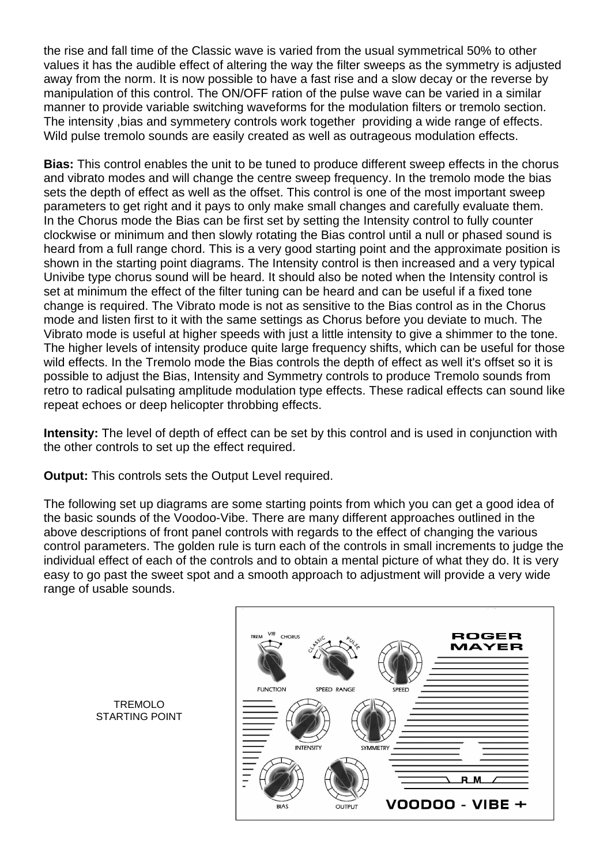the rise and fall time of the Classic wave is varied from the usual symmetrical 50% to other values it has the audible effect of altering the way the filter sweeps as the symmetry is adjusted away from the norm. It is now possible to have a fast rise and a slow decay or the reverse by manipulation of this control. The ON/OFF ration of the pulse wave can be varied in a similar manner to provide variable switching waveforms for the modulation filters or tremolo section. The intensity ,bias and symmetery controls work together providing a wide range of effects. Wild pulse tremolo sounds are easily created as well as outrageous modulation effects.

**Bias:** This control enables the unit to be tuned to produce different sweep effects in the chorus and vibrato modes and will change the centre sweep frequency. In the tremolo mode the bias sets the depth of effect as well as the offset. This control is one of the most important sweep parameters to get right and it pays to only make small changes and carefully evaluate them. In the Chorus mode the Bias can be first set by setting the Intensity control to fully counter clockwise or minimum and then slowly rotating the Bias control until a null or phased sound is heard from a full range chord. This is a very good starting point and the approximate position is shown in the starting point diagrams. The Intensity control is then increased and a very typical Univibe type chorus sound will be heard. It should also be noted when the Intensity control is set at minimum the effect of the filter tuning can be heard and can be useful if a fixed tone change is required. The Vibrato mode is not as sensitive to the Bias control as in the Chorus mode and listen first to it with the same settings as Chorus before you deviate to much. The Vibrato mode is useful at higher speeds with just a little intensity to give a shimmer to the tone. The higher levels of intensity produce quite large frequency shifts, which can be useful for those wild effects. In the Tremolo mode the Bias controls the depth of effect as well it's offset so it is possible to adjust the Bias, Intensity and Symmetry controls to produce Tremolo sounds from retro to radical pulsating amplitude modulation type effects. These radical effects can sound like repeat echoes or deep helicopter throbbing effects.

**Intensity:** The level of depth of effect can be set by this control and is used in conjunction with the other controls to set up the effect required.

**Output:** This controls sets the Output Level required.

The following set up diagrams are some starting points from which you can get a good idea of the basic sounds of the Voodoo-Vibe. There are many different approaches outlined in the above descriptions of front panel controls with regards to the effect of changing the various control parameters. The golden rule is turn each of the controls in small increments to judge the individual effect of each of the controls and to obtain a mental picture of what they do. It is very easy to go past the sweet spot and a smooth approach to adjustment will provide a very wide range of usable sounds.



TREMOLO STARTING POINT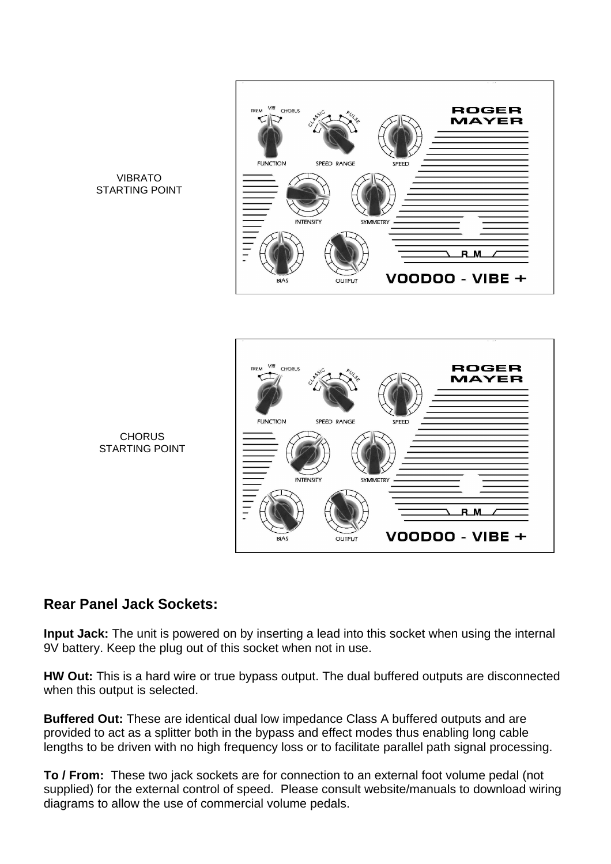

#### VIBRATO STARTING POINT



**CHORUS** STARTING POINT

#### **Rear Panel Jack Sockets:**

**Input Jack:** The unit is powered on by inserting a lead into this socket when using the internal 9V battery. Keep the plug out of this socket when not in use.

**HW Out:** This is a hard wire or true bypass output. The dual buffered outputs are disconnected when this output is selected.

**Buffered Out:** These are identical dual low impedance Class A buffered outputs and are provided to act as a splitter both in the bypass and effect modes thus enabling long cable lengths to be driven with no high frequency loss or to facilitate parallel path signal processing.

**To / From:** These two jack sockets are for connection to an external foot volume pedal (not supplied) for the external control of speed. Please consult website/manuals to download wiring diagrams to allow the use of commercial volume pedals.